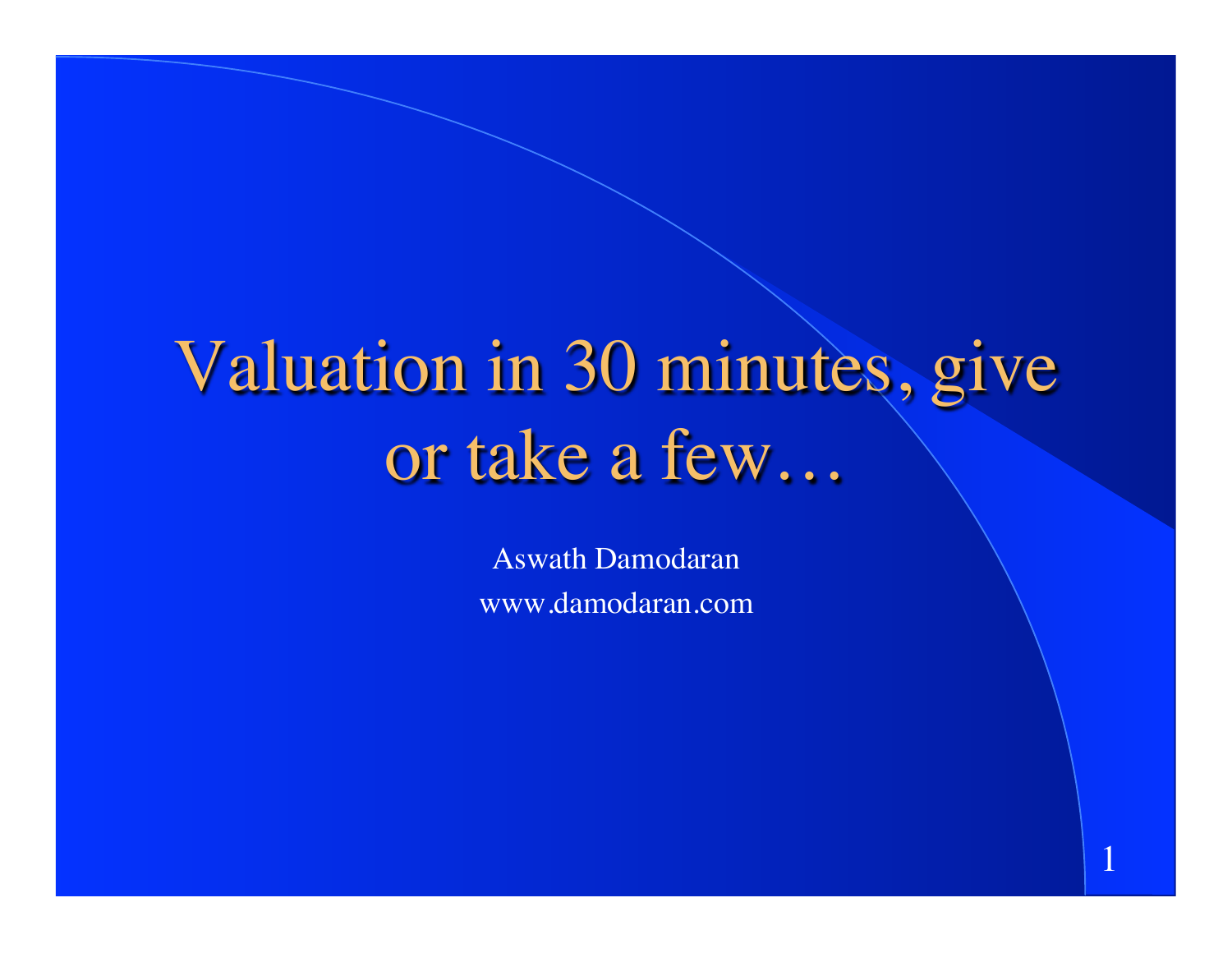# Valuation in 30 minutes, give or take a few…

Aswath Damodaran www.damodaran.com

1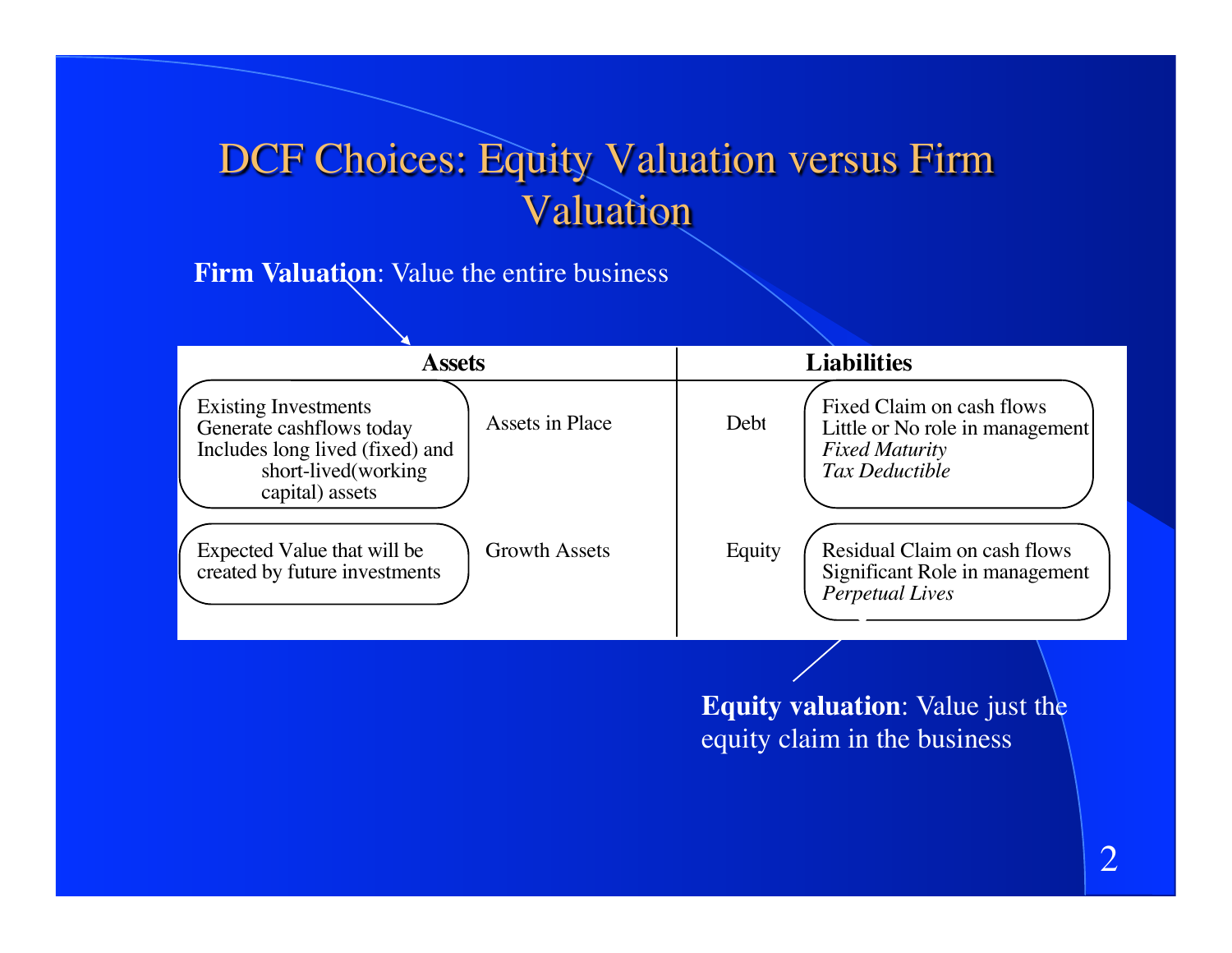# DCF Choices: Equity Valuation versus Firm Valuation

#### **Firm Valuation**: Value the entire business

| <b>Assets</b>                                                                                                                        |                      | <b>Liabilities</b> |                                                                                                                |
|--------------------------------------------------------------------------------------------------------------------------------------|----------------------|--------------------|----------------------------------------------------------------------------------------------------------------|
| <b>Existing Investments</b><br>Generate cashflows today<br>Includes long lived (fixed) and<br>short-lived(working<br>capital) assets | Assets in Place      | Debt               | Fixed Claim on cash flows<br>Little or No role in management<br><b>Fixed Maturity</b><br><b>Tax Deductible</b> |
| Expected Value that will be<br>created by future investments                                                                         | <b>Growth Assets</b> | Equity             | Residual Claim on cash flows<br>Significant Role in management<br><b>Perpetual Lives</b>                       |
|                                                                                                                                      |                      | . .                | and the contract of the contract of the<br>$\mathbf{X}$ $\mathbf{Y}$ $\mathbf{1}$<br>-49.                      |

**Equity valuation**: Value just the equity claim in the business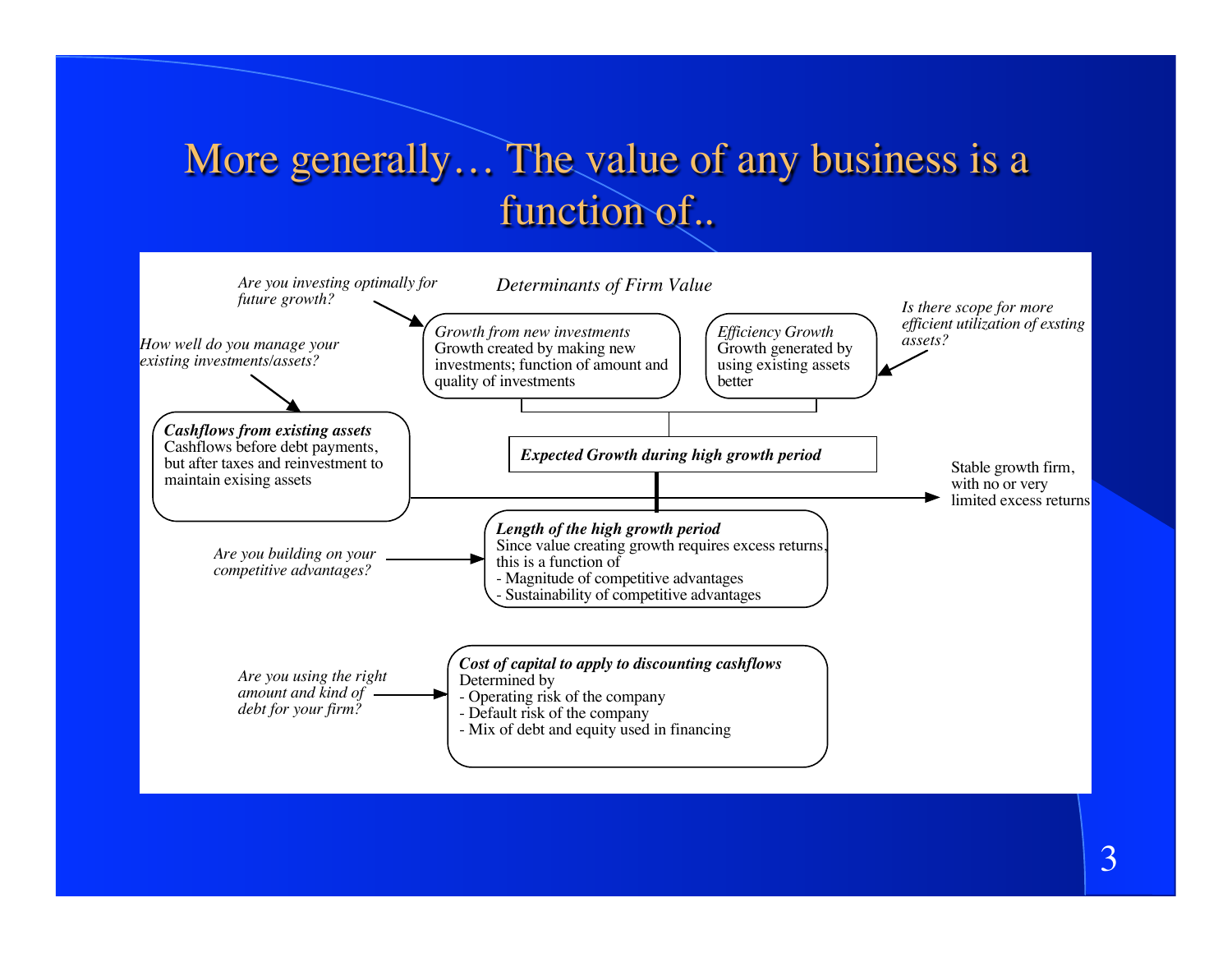## More generally… The value of any business is a function of..

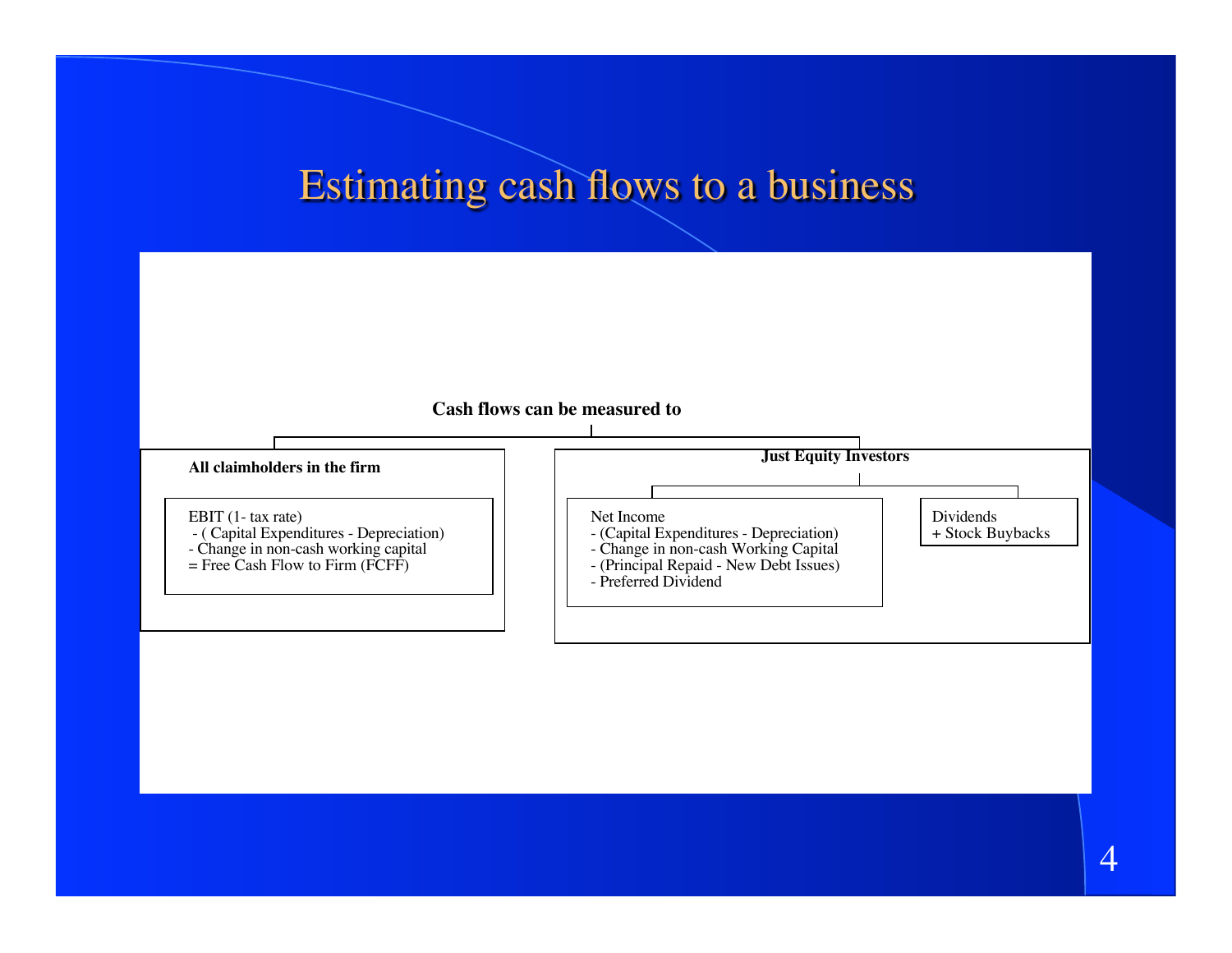#### Estimating cash flows to a business



4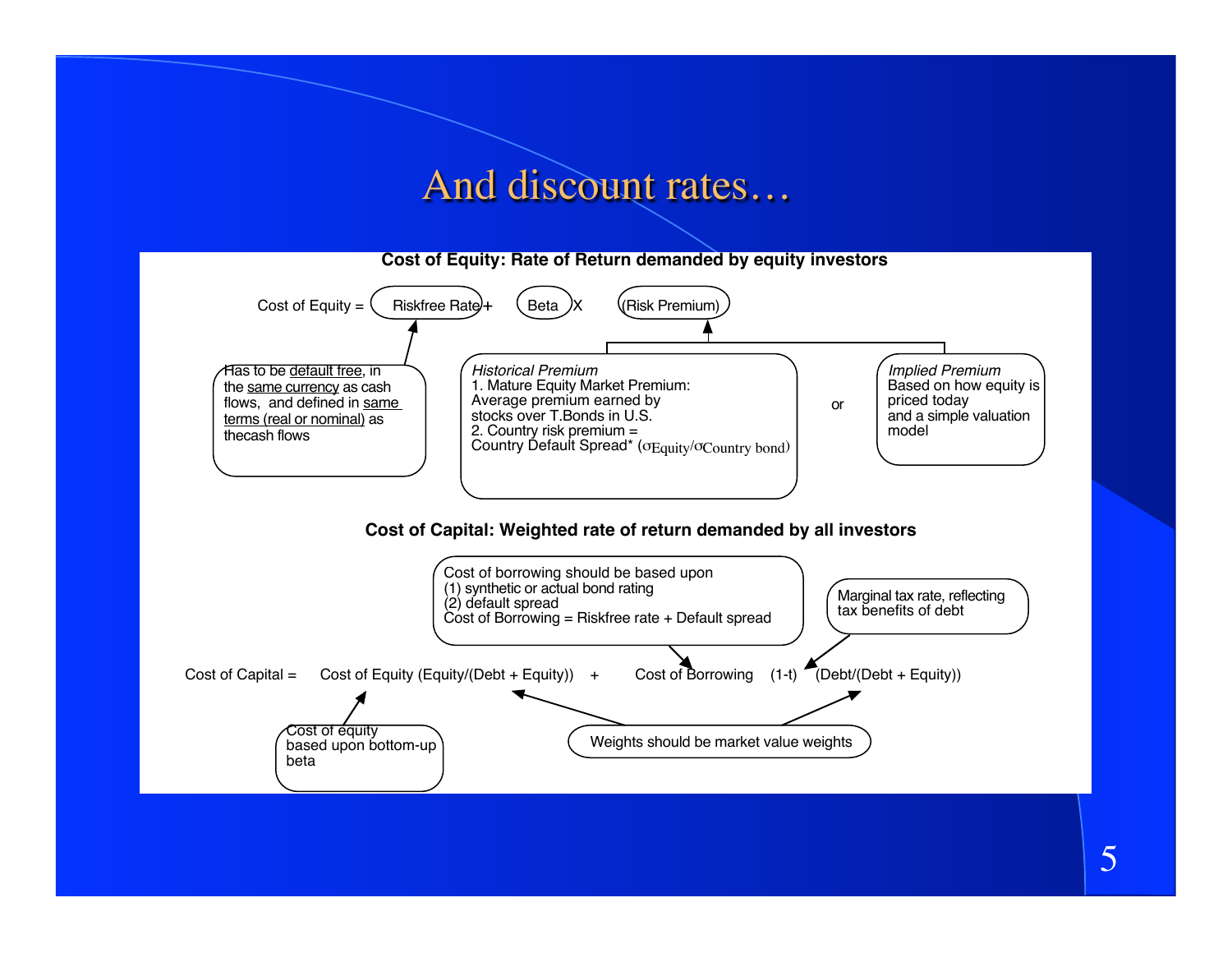#### And discount rates…

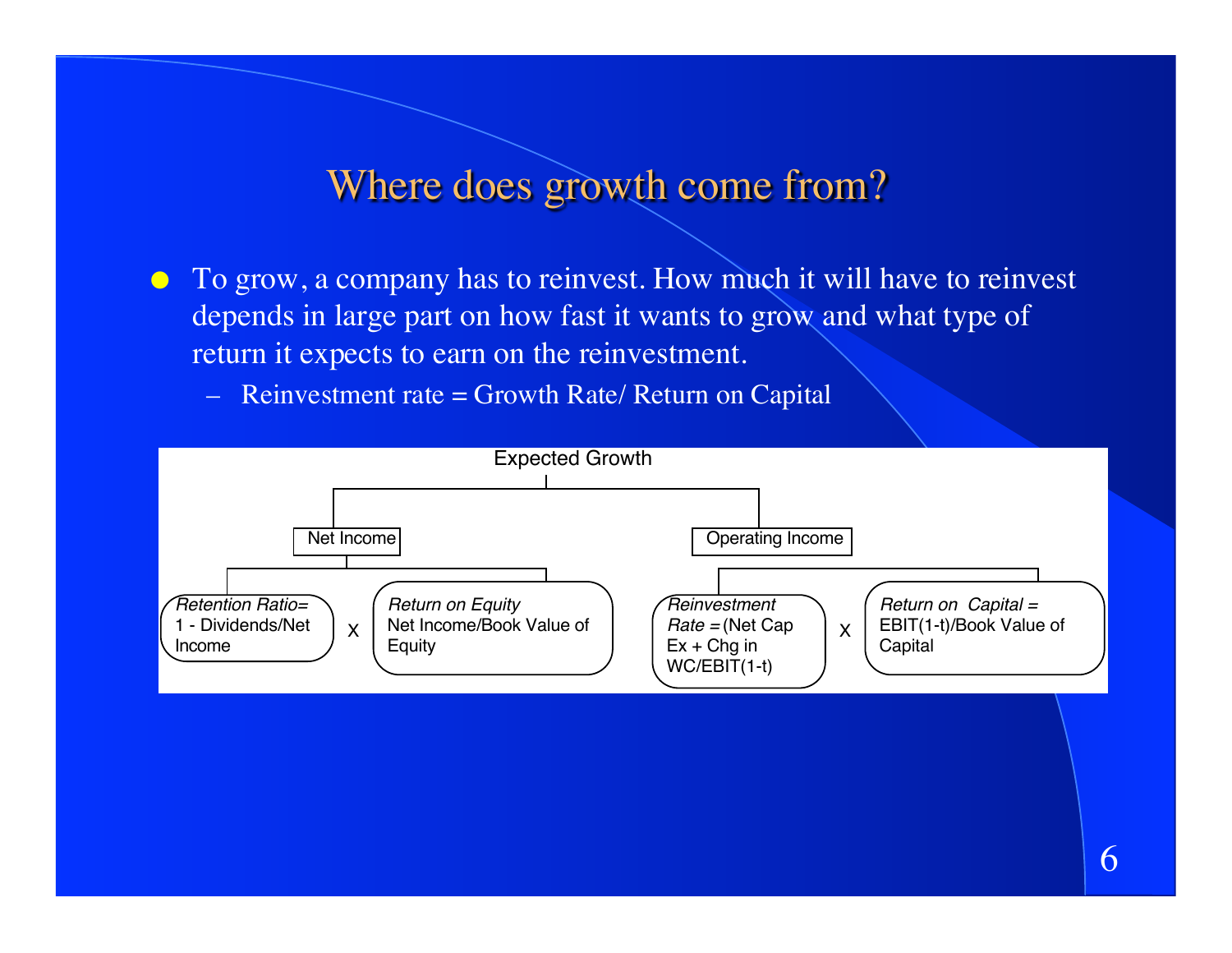#### Where does growth come from?

- To grow, a company has to reinvest. How much it will have to reinvest depends in large part on how fast it wants to grow and what type of return it expects to earn on the reinvestment.
	- $-$  Reinvestment rate = Growth Rate/ Return on Capital

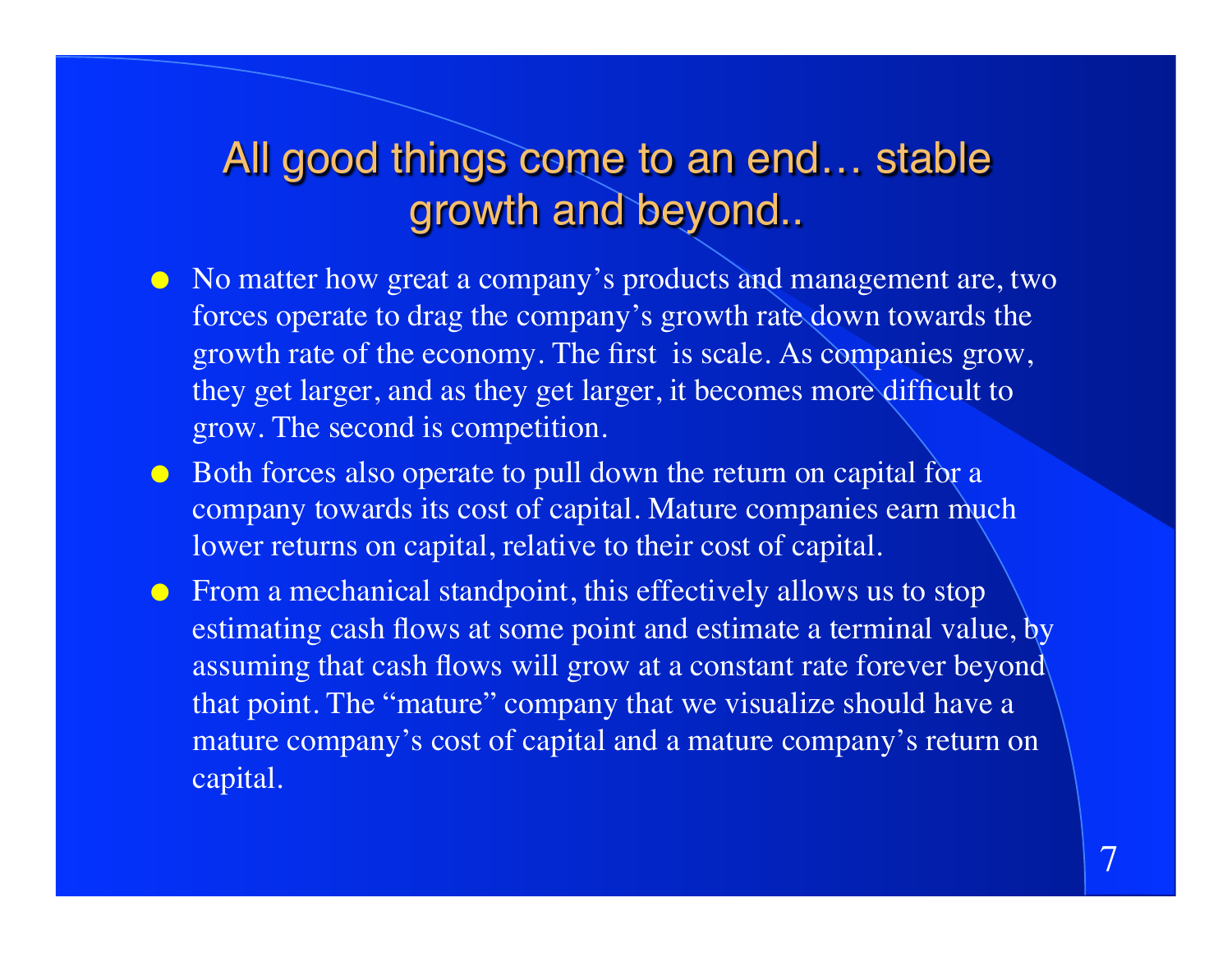# All good things come to an end… stable growth and beyond..

- No matter how great a company's products and management are, two forces operate to drag the company's growth rate down towards the growth rate of the economy. The first is scale. As companies grow, they get larger, and as they get larger, it becomes more difficult to grow. The second is competition.
- Both forces also operate to pull down the return on capital for a company towards its cost of capital. Mature companies earn much lower returns on capital, relative to their cost of capital.
- From a mechanical standpoint, this effectively allows us to stop estimating cash flows at some point and estimate a terminal value, by assuming that cash flows will grow at a constant rate forever beyond that point. The "mature" company that we visualize should have a mature company's cost of capital and a mature company's return on capital.